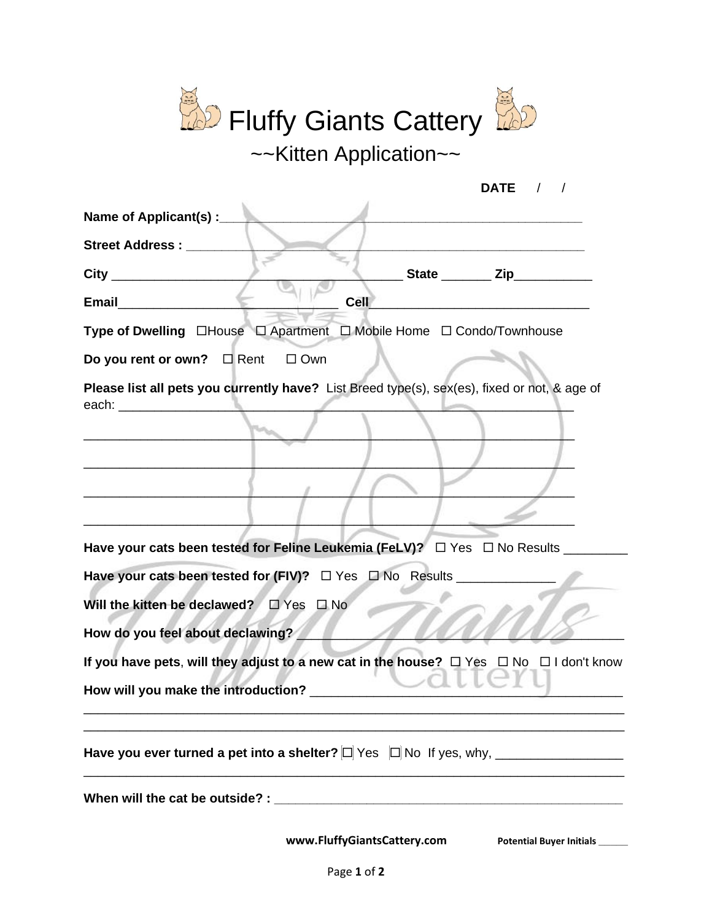| <b>P</b> Fluffy Giants Cattery                                                                                                                     |
|----------------------------------------------------------------------------------------------------------------------------------------------------|
| $\sim$ Kitten Application $\sim$                                                                                                                   |
| DATE /                                                                                                                                             |
| Name of Applicant(s) :___                                                                                                                          |
| <b>Street Address:</b><br>_State ________ Zip__________                                                                                            |
| Cell<br><b>Email</b>                                                                                                                               |
| Type of Dwelling □House □ Apartment □ Mobile Home □ Condo/Townhouse                                                                                |
| Do you rent or own? □ Rent □ Own                                                                                                                   |
| Please list all pets you currently have? List Breed type(s), sex(es), fixed or not, & age of                                                       |
| Have your cats been tested for Feline Leukemia (FeLV)? □ Yes □ No Results __                                                                       |
| Have your cats been tested for (FIV)? $\Box$ Yes $\Box$ No Results ______________                                                                  |
| Will the kitten be declawed?<br>$\Box$ Yes<br>$\square$ No                                                                                         |
| How do you feel about declawing?                                                                                                                   |
| If you have pets, will they adjust to a new cat in the house? $\Box$ Yes $\Box$ No $\Box$ I don't know<br>How will you make the introduction? ____ |
|                                                                                                                                                    |
|                                                                                                                                                    |
| www.FluffyGiantsCattery.com<br>Potential Buyer Initials                                                                                            |